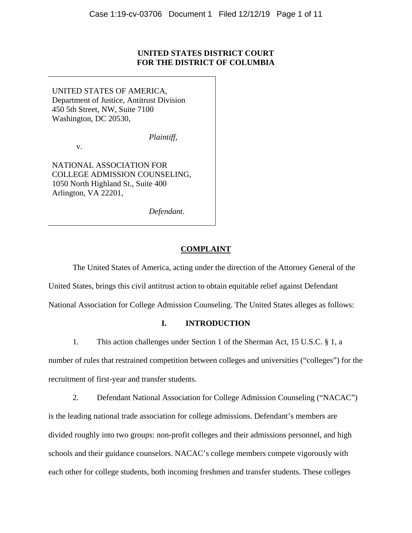# **UNITED STATES DISTRICT COURT FOR THE DISTRICT OF COLUMBIA**

UNITED STATES OF AMERICA, Department of Justice, Antitrust Division 450 5th Street, NW, Suite 7100 Washington, DC 20530,

v.

NATIONAL ASSOCIATION FOR COLLEGE ADMISSION COUNSELING, 1050 North Highland St., Suite 400 Arlington, VA 22201,

*Defendant*.

*Plaintiff*,

### **COMPLAINT**

The United States of America, acting under the direction of the Attorney General of the United States, brings this civil antitrust action to obtain equitable relief against Defendant

National Association for College Admission Counseling. The United States alleges as follows:

# **I. INTRODUCTION**

1. This action challenges under Section 1 of the Sherman Act, 15 U.S.C. § 1, a number of rules that restrained competition between colleges and universities ("colleges") for the recruitment of first-year and transfer students.

2. Defendant National Association for College Admission Counseling ("NACAC") is the leading national trade association for college admissions. Defendant's members are divided roughly into two groups: non-profit colleges and their admissions personnel, and high schools and their guidance counselors. NACAC's college members compete vigorously with each other for college students, both incoming freshmen and transfer students. These colleges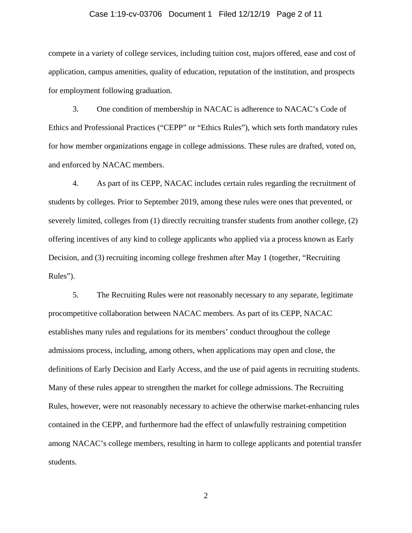#### Case 1:19-cv-03706 Document 1 Filed 12/12/19 Page 2 of 11

compete in a variety of college services, including tuition cost, majors offered, ease and cost of application, campus amenities, quality of education, reputation of the institution, and prospects for employment following graduation.

3. One condition of membership in NACAC is adherence to NACAC's Code of Ethics and Professional Practices ("CEPP" or "Ethics Rules"), which sets forth mandatory rules for how member organizations engage in college admissions. These rules are drafted, voted on, and enforced by NACAC members.

4. As part of its CEPP, NACAC includes certain rules regarding the recruitment of students by colleges. Prior to September 2019, among these rules were ones that prevented, or severely limited, colleges from (1) directly recruiting transfer students from another college, (2) offering incentives of any kind to college applicants who applied via a process known as Early Decision, and (3) recruiting incoming college freshmen after May 1 (together, "Recruiting Rules").

5. The Recruiting Rules were not reasonably necessary to any separate, legitimate procompetitive collaboration between NACAC members. As part of its CEPP, NACAC establishes many rules and regulations for its members' conduct throughout the college admissions process, including, among others, when applications may open and close, the definitions of Early Decision and Early Access, and the use of paid agents in recruiting students. Many of these rules appear to strengthen the market for college admissions. The Recruiting Rules, however, were not reasonably necessary to achieve the otherwise market-enhancing rules contained in the CEPP, and furthermore had the effect of unlawfully restraining competition among NACAC's college members, resulting in harm to college applicants and potential transfer students.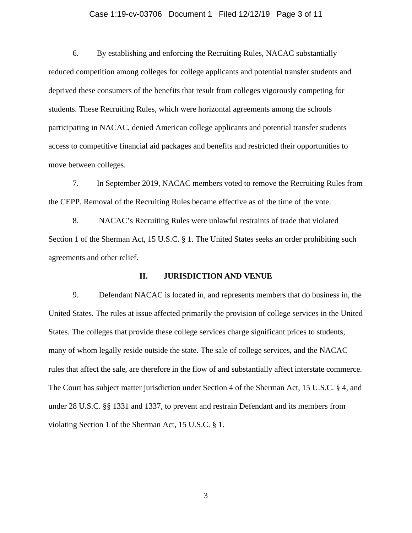# Case 1:19-cv-03706 Document 1 Filed 12/12/19 Page 3 of 11

6. By establishing and enforcing the Recruiting Rules, NACAC substantially reduced competition among colleges for college applicants and potential transfer students and deprived these consumers of the benefits that result from colleges vigorously competing for students. These Recruiting Rules, which were horizontal agreements among the schools participating in NACAC, denied American college applicants and potential transfer students access to competitive financial aid packages and benefits and restricted their opportunities to move between colleges.

7. In September 2019, NACAC members voted to remove the Recruiting Rules from the CEPP. Removal of the Recruiting Rules became effective as of the time of the vote.

8. NACAC's Recruiting Rules were unlawful restraints of trade that violated Section 1 of the Sherman Act, 15 U.S.C. § 1. The United States seeks an order prohibiting such agreements and other relief.

#### **II. JURISDICTION AND VENUE**

9. Defendant NACAC is located in, and represents members that do business in, the United States. The rules at issue affected primarily the provision of college services in the United States. The colleges that provide these college services charge significant prices to students, many of whom legally reside outside the state. The sale of college services, and the NACAC rules that affect the sale, are therefore in the flow of and substantially affect interstate commerce. The Court has subject matter jurisdiction under Section 4 of the Sherman Act, 15 U.S.C. § 4, and under 28 U.S.C. §§ 1331 and 1337, to prevent and restrain Defendant and its members from violating Section 1 of the Sherman Act, 15 U.S.C. § 1.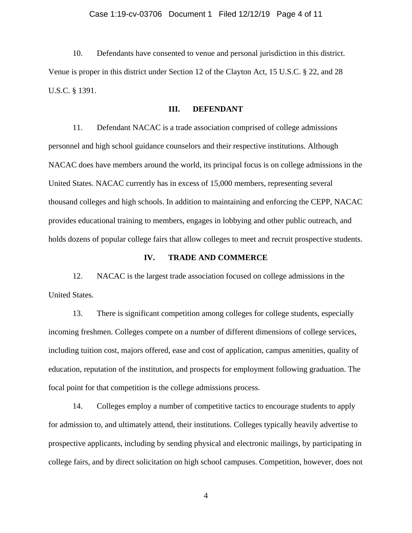10. Defendants have consented to venue and personal jurisdiction in this district. Venue is proper in this district under Section 12 of the Clayton Act, 15 U.S.C. § 22, and 28 U.S.C. § 1391.

### **III. DEFENDANT**

11. Defendant NACAC is a trade association comprised of college admissions personnel and high school guidance counselors and their respective institutions. Although NACAC does have members around the world, its principal focus is on college admissions in the United States. NACAC currently has in excess of 15,000 members, representing several thousand colleges and high schools. In addition to maintaining and enforcing the CEPP, NACAC provides educational training to members, engages in lobbying and other public outreach, and holds dozens of popular college fairs that allow colleges to meet and recruit prospective students.

### **IV. TRADE AND COMMERCE**

12. NACAC is the largest trade association focused on college admissions in the United States.

13. There is significant competition among colleges for college students, especially incoming freshmen. Colleges compete on a number of different dimensions of college services, including tuition cost, majors offered, ease and cost of application, campus amenities, quality of education, reputation of the institution, and prospects for employment following graduation. The focal point for that competition is the college admissions process.

14. Colleges employ a number of competitive tactics to encourage students to apply for admission to, and ultimately attend, their institutions. Colleges typically heavily advertise to prospective applicants, including by sending physical and electronic mailings, by participating in college fairs, and by direct solicitation on high school campuses. Competition, however, does not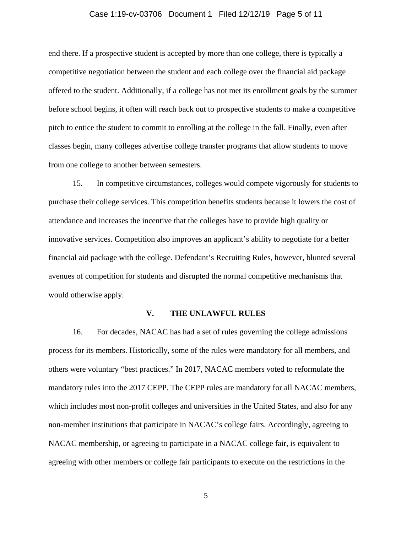# Case 1:19-cv-03706 Document 1 Filed 12/12/19 Page 5 of 11

end there. If a prospective student is accepted by more than one college, there is typically a competitive negotiation between the student and each college over the financial aid package offered to the student. Additionally, if a college has not met its enrollment goals by the summer before school begins, it often will reach back out to prospective students to make a competitive pitch to entice the student to commit to enrolling at the college in the fall. Finally, even after classes begin, many colleges advertise college transfer programs that allow students to move from one college to another between semesters.

15. In competitive circumstances, colleges would compete vigorously for students to purchase their college services. This competition benefits students because it lowers the cost of attendance and increases the incentive that the colleges have to provide high quality or innovative services. Competition also improves an applicant's ability to negotiate for a better financial aid package with the college. Defendant's Recruiting Rules, however, blunted several avenues of competition for students and disrupted the normal competitive mechanisms that would otherwise apply.

#### **V. THE UNLAWFUL RULES**

16. For decades, NACAC has had a set of rules governing the college admissions process for its members. Historically, some of the rules were mandatory for all members, and others were voluntary "best practices." In 2017, NACAC members voted to reformulate the mandatory rules into the 2017 CEPP. The CEPP rules are mandatory for all NACAC members, which includes most non-profit colleges and universities in the United States, and also for any non-member institutions that participate in NACAC's college fairs. Accordingly, agreeing to NACAC membership, or agreeing to participate in a NACAC college fair, is equivalent to agreeing with other members or college fair participants to execute on the restrictions in the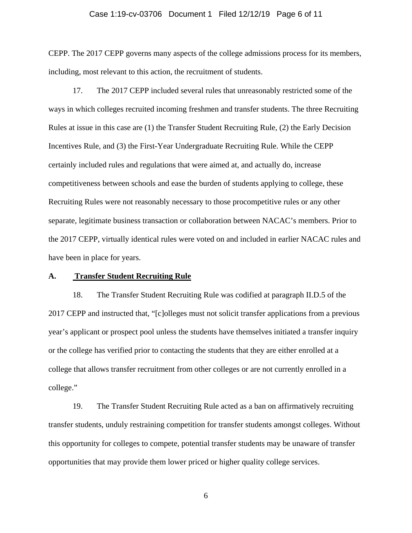#### Case 1:19-cv-03706 Document 1 Filed 12/12/19 Page 6 of 11

CEPP. The 2017 CEPP governs many aspects of the college admissions process for its members, including, most relevant to this action, the recruitment of students.

17. The 2017 CEPP included several rules that unreasonably restricted some of the ways in which colleges recruited incoming freshmen and transfer students. The three Recruiting Rules at issue in this case are (1) the Transfer Student Recruiting Rule, (2) the Early Decision Incentives Rule, and (3) the First-Year Undergraduate Recruiting Rule. While the CEPP certainly included rules and regulations that were aimed at, and actually do, increase competitiveness between schools and ease the burden of students applying to college, these Recruiting Rules were not reasonably necessary to those procompetitive rules or any other separate, legitimate business transaction or collaboration between NACAC's members. Prior to the 2017 CEPP, virtually identical rules were voted on and included in earlier NACAC rules and have been in place for years.

### **A. Transfer Student Recruiting Rule**

18. The Transfer Student Recruiting Rule was codified at paragraph II.D.5 of the 2017 CEPP and instructed that, "[c]olleges must not solicit transfer applications from a previous year's applicant or prospect pool unless the students have themselves initiated a transfer inquiry or the college has verified prior to contacting the students that they are either enrolled at a college that allows transfer recruitment from other colleges or are not currently enrolled in a college."

19. The Transfer Student Recruiting Rule acted as a ban on affirmatively recruiting transfer students, unduly restraining competition for transfer students amongst colleges. Without this opportunity for colleges to compete, potential transfer students may be unaware of transfer opportunities that may provide them lower priced or higher quality college services.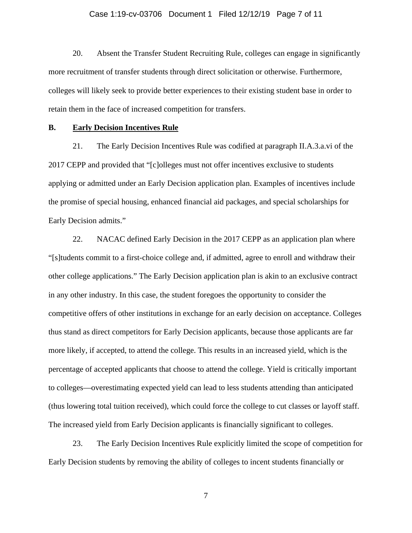#### Case 1:19-cv-03706 Document 1 Filed 12/12/19 Page 7 of 11

20. Absent the Transfer Student Recruiting Rule, colleges can engage in significantly more recruitment of transfer students through direct solicitation or otherwise. Furthermore, colleges will likely seek to provide better experiences to their existing student base in order to retain them in the face of increased competition for transfers.

### **B. Early Decision Incentives Rule**

21. The Early Decision Incentives Rule was codified at paragraph II.A.3.a.vi of the 2017 CEPP and provided that "[c]olleges must not offer incentives exclusive to students applying or admitted under an Early Decision application plan. Examples of incentives include the promise of special housing, enhanced financial aid packages, and special scholarships for Early Decision admits."

22. NACAC defined Early Decision in the 2017 CEPP as an application plan where "[s]tudents commit to a first-choice college and, if admitted, agree to enroll and withdraw their other college applications." The Early Decision application plan is akin to an exclusive contract in any other industry. In this case, the student foregoes the opportunity to consider the competitive offers of other institutions in exchange for an early decision on acceptance. Colleges thus stand as direct competitors for Early Decision applicants, because those applicants are far more likely, if accepted, to attend the college. This results in an increased yield, which is the percentage of accepted applicants that choose to attend the college. Yield is critically important to colleges—overestimating expected yield can lead to less students attending than anticipated (thus lowering total tuition received), which could force the college to cut classes or layoff staff. The increased yield from Early Decision applicants is financially significant to colleges.

23. The Early Decision Incentives Rule explicitly limited the scope of competition for Early Decision students by removing the ability of colleges to incent students financially or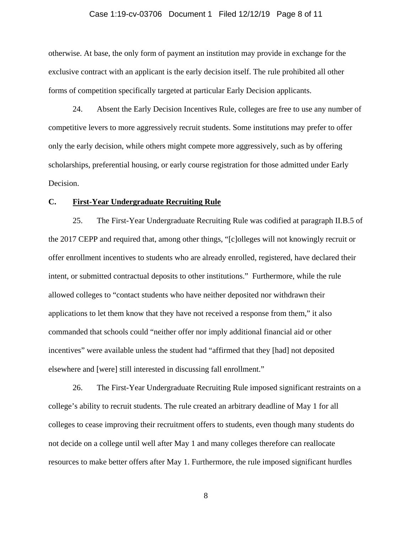#### Case 1:19-cv-03706 Document 1 Filed 12/12/19 Page 8 of 11

otherwise. At base, the only form of payment an institution may provide in exchange for the exclusive contract with an applicant is the early decision itself. The rule prohibited all other forms of competition specifically targeted at particular Early Decision applicants.

24. Absent the Early Decision Incentives Rule, colleges are free to use any number of competitive levers to more aggressively recruit students. Some institutions may prefer to offer only the early decision, while others might compete more aggressively, such as by offering scholarships, preferential housing, or early course registration for those admitted under Early Decision.

#### **C. First-Year Undergraduate Recruiting Rule**

25. The First-Year Undergraduate Recruiting Rule was codified at paragraph II.B.5 of the 2017 CEPP and required that, among other things, "[c]olleges will not knowingly recruit or offer enrollment incentives to students who are already enrolled, registered, have declared their intent, or submitted contractual deposits to other institutions." Furthermore, while the rule allowed colleges to "contact students who have neither deposited nor withdrawn their applications to let them know that they have not received a response from them," it also commanded that schools could "neither offer nor imply additional financial aid or other incentives" were available unless the student had "affirmed that they [had] not deposited elsewhere and [were] still interested in discussing fall enrollment."

26. The First-Year Undergraduate Recruiting Rule imposed significant restraints on a college's ability to recruit students. The rule created an arbitrary deadline of May 1 for all colleges to cease improving their recruitment offers to students, even though many students do not decide on a college until well after May 1 and many colleges therefore can reallocate resources to make better offers after May 1. Furthermore, the rule imposed significant hurdles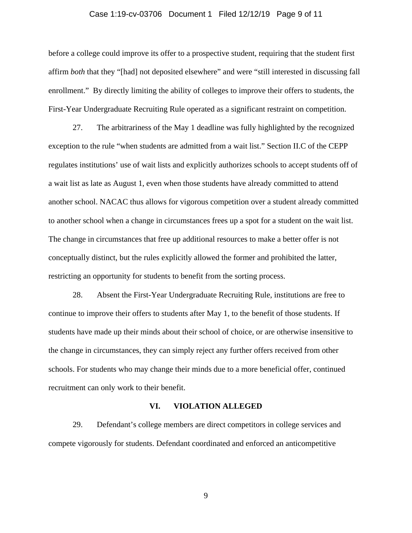# Case 1:19-cv-03706 Document 1 Filed 12/12/19 Page 9 of 11

before a college could improve its offer to a prospective student, requiring that the student first affirm *both* that they "[had] not deposited elsewhere" and were "still interested in discussing fall enrollment." By directly limiting the ability of colleges to improve their offers to students, the First-Year Undergraduate Recruiting Rule operated as a significant restraint on competition.

27. The arbitrariness of the May 1 deadline was fully highlighted by the recognized exception to the rule "when students are admitted from a wait list." Section II.C of the CEPP regulates institutions' use of wait lists and explicitly authorizes schools to accept students off of a wait list as late as August 1, even when those students have already committed to attend another school. NACAC thus allows for vigorous competition over a student already committed to another school when a change in circumstances frees up a spot for a student on the wait list. The change in circumstances that free up additional resources to make a better offer is not conceptually distinct, but the rules explicitly allowed the former and prohibited the latter, restricting an opportunity for students to benefit from the sorting process.

28. Absent the First-Year Undergraduate Recruiting Rule, institutions are free to continue to improve their offers to students after May 1, to the benefit of those students. If students have made up their minds about their school of choice, or are otherwise insensitive to the change in circumstances, they can simply reject any further offers received from other schools. For students who may change their minds due to a more beneficial offer, continued recruitment can only work to their benefit.

### **VI. VIOLATION ALLEGED**

29. Defendant's college members are direct competitors in college services and compete vigorously for students. Defendant coordinated and enforced an anticompetitive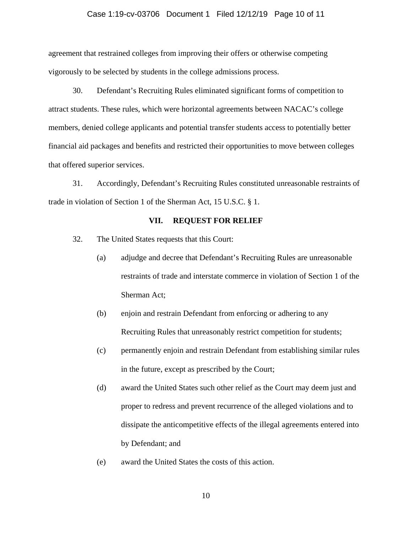#### Case 1:19-cv-03706 Document 1 Filed 12/12/19 Page 10 of 11

agreement that restrained colleges from improving their offers or otherwise competing vigorously to be selected by students in the college admissions process.

30. Defendant's Recruiting Rules eliminated significant forms of competition to attract students. These rules, which were horizontal agreements between NACAC's college members, denied college applicants and potential transfer students access to potentially better financial aid packages and benefits and restricted their opportunities to move between colleges that offered superior services.

31. Accordingly, Defendant's Recruiting Rules constituted unreasonable restraints of trade in violation of Section 1 of the Sherman Act, 15 U.S.C. § 1.

#### **VII. REQUEST FOR RELIEF**

- 32. The United States requests that this Court:
	- (a) adjudge and decree that Defendant's Recruiting Rules are unreasonable restraints of trade and interstate commerce in violation of Section 1 of the Sherman Act;
	- (b) enjoin and restrain Defendant from enforcing or adhering to any Recruiting Rules that unreasonably restrict competition for students;
	- (c) permanently enjoin and restrain Defendant from establishing similar rules in the future, except as prescribed by the Court;
	- (d) award the United States such other relief as the Court may deem just and proper to redress and prevent recurrence of the alleged violations and to dissipate the anticompetitive effects of the illegal agreements entered into by Defendant; and
	- (e) award the United States the costs of this action.